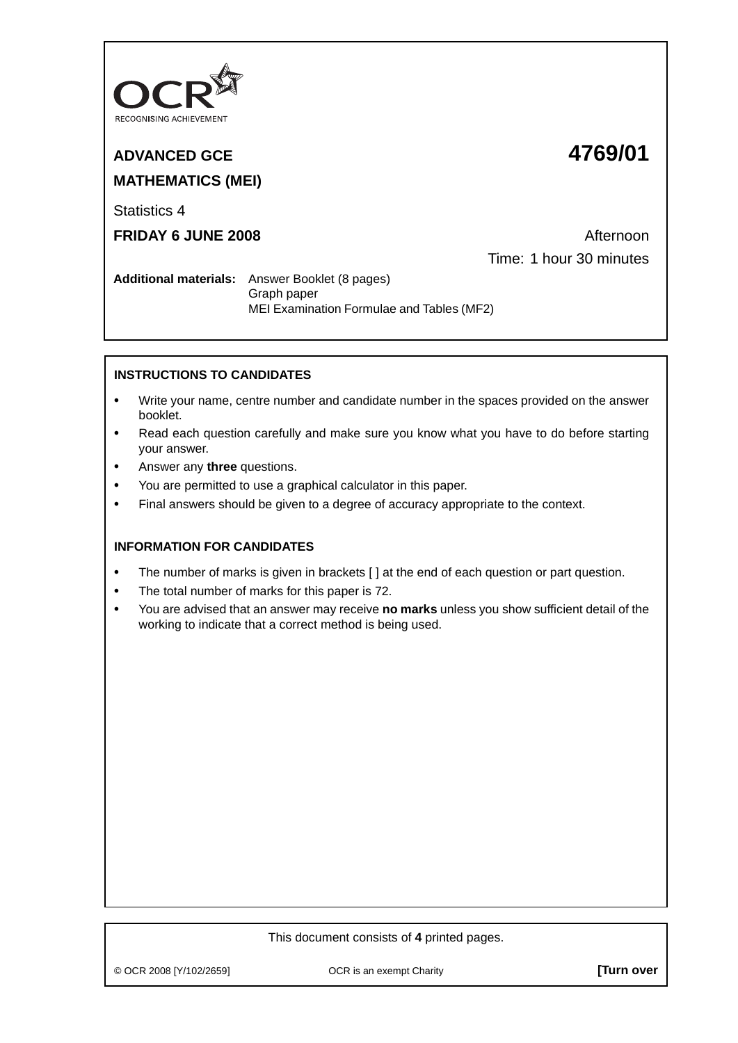

# **ADVANCED GCE 4769/01 MATHEMATICS (MEI)**

Statistics 4

**FRIDAY 6 JUNE 2008 Afternoon** Time: 1 hour 30 minutes

**Additional materials:** Answer Booklet (8 pages) Graph paper MEI Examination Formulae and Tables (MF2)

## **INSTRUCTIONS TO CANDIDATES**

- **•** Write your name, centre number and candidate number in the spaces provided on the answer booklet.
- **•** Read each question carefully and make sure you know what you have to do before starting your answer.
- **•** Answer any **three** questions.
- **•** You are permitted to use a graphical calculator in this paper.
- **•** Final answers should be given to a degree of accuracy appropriate to the context.

### **INFORMATION FOR CANDIDATES**

- The number of marks is given in brackets  $\lceil \cdot \rceil$  at the end of each question or part question.
- **•** The total number of marks for this paper is 72.
- **•** You are advised that an answer may receive **no marks** unless you show sufficient detail of the working to indicate that a correct method is being used.

#### This document consists of **4** printed pages.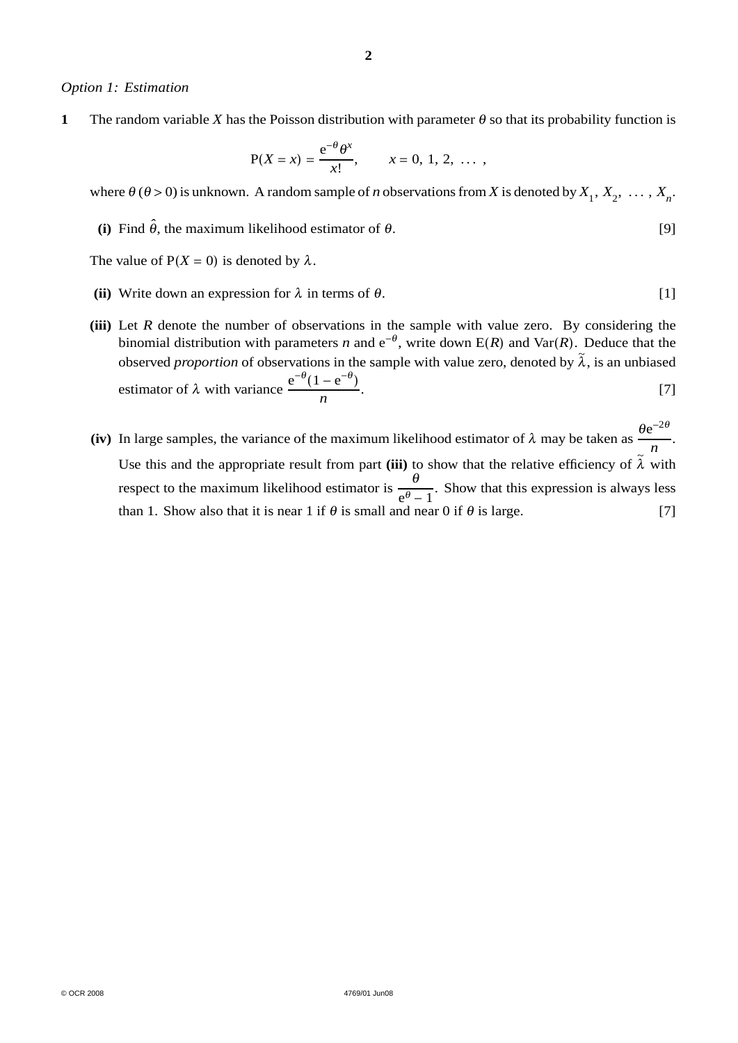#### *Option 1: Estimation*

**1** The random variable *X* has the Poisson distribution with parameter  $\theta$  so that its probability function is

$$
P(X = x) = {e^{-\theta} \theta^x \over x!}, \qquad x = 0, 1, 2, ...
$$

where  $\theta$  ( $\theta > 0$ ) is unknown. A random sample of *n* observations from *X* is denoted by  $X_1, X_2, \ldots, X_n$ .

**(i)** Find  $\hat{\theta}$ , the maximum likelihood estimator of  $\theta$ . [9]

The value of  $P(X = 0)$  is denoted by  $\lambda$ .

- (ii) Write down an expression for  $\lambda$  in terms of  $\theta$ . [1]
- **(iii)** Let *R* denote the number of observations in the sample with value zero. By considering the binomial distribution with parameters *n* and  $e^{-\theta}$ , write down E(*R*) and Var(*R*). Deduce that the observed *proportion* of observations in the sample with value zero, denoted by  $\tilde{\lambda}$ , is an unbiased estimator of  $\lambda$  with variance  $\frac{e^{-\theta}(1-e^{-\theta})}{n}$ .  $[7]$
- **(iv)** In large samples, the variance of the maximum likelihood estimator of λ may be taken as  $\frac{\theta e^{-2\theta}}{n}$ . Use this and the appropriate result from part (iii) to show that the relative efficiency of  $\tilde{\lambda}$  with respect to the maximum likelihood estimator is  $\frac{\theta}{a}$  $e^{\theta}$  – 1 . Show that this expression is always less than 1. Show also that it is near 1 if  $\theta$  is small and near 0 if  $\theta$  is large. [7]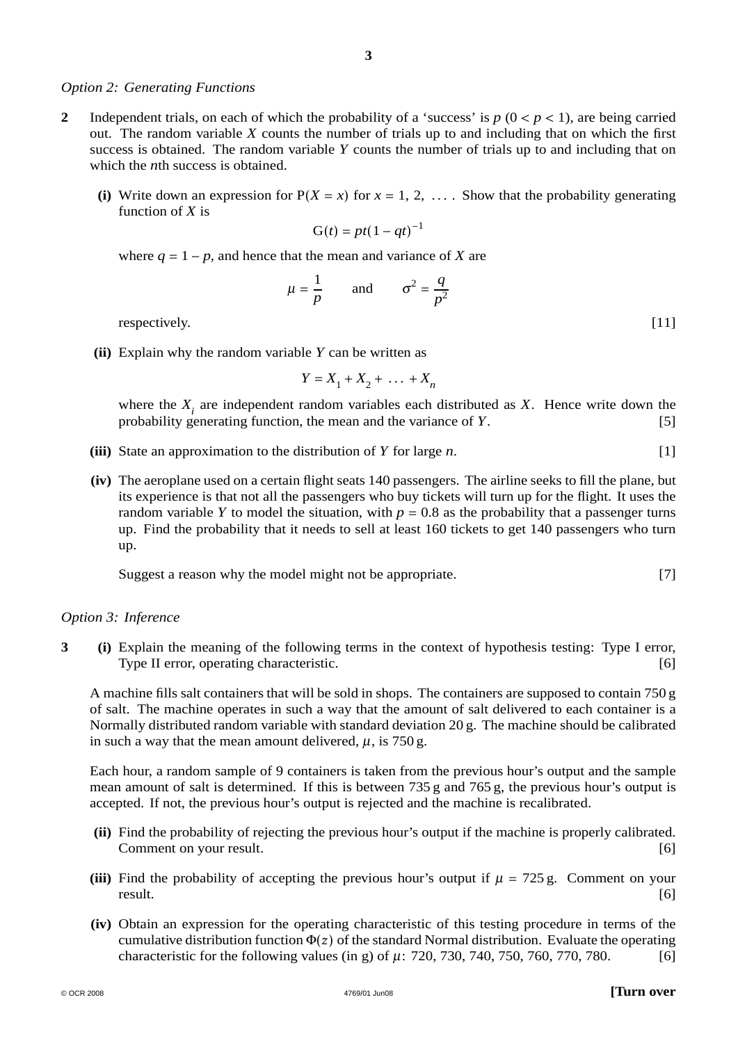#### *Option 2: Generating Functions*

- **2** Independent trials, on each of which the probability of a 'success' is  $p (0 < p < 1)$ , are being carried out. The random variable *X* counts the number of trials up to and including that on which the first success is obtained. The random variable *Y* counts the number of trials up to and including that on which the *n*th success is obtained.
	- (i) Write down an expression for  $P(X = x)$  for  $x = 1, 2, \ldots$ . Show that the probability generating function of *X* is

$$
G(t) = pt(1 - qt)^{-1}
$$

where  $q = 1 - p$ , and hence that the mean and variance of *X* are

$$
\mu = \frac{1}{p} \quad \text{and} \quad \sigma^2 = \frac{q}{p^2}
$$
 [11]

respectively.

**(ii)** Explain why the random variable *Y* can be written as

$$
Y = X_1 + X_2 + \dots + X_n
$$

where the  $X_i$  are independent random variables each distributed as  $X$ . Hence write down the probability generating function, the mean and the variance of  $Y$ . [5] probability generating function, the mean and the variance of *Y*.

- **(iii)** State an approximation to the distribution of *Y* for large *n*. [1]
- **(iv)** The aeroplane used on a certain flight seats 140 passengers. The airline seeks to fill the plane, but its experience is that not all the passengers who buy tickets will turn up for the flight. It uses the random variable *Y* to model the situation, with  $p = 0.8$  as the probability that a passenger turns up. Find the probability that it needs to sell at least 160 tickets to get 140 passengers who turn up.

Suggest a reason why the model might not be appropriate. [7]

#### *Option 3: Inference*

**3 (i)** Explain the meaning of the following terms in the context of hypothesis testing: Type I error, Type II error, operating characteristic. [6]

A machine fills salt containers that will be sold in shops. The containers are supposed to contain 750 g of salt. The machine operates in such a way that the amount of salt delivered to each container is a Normally distributed random variable with standard deviation 20 g. The machine should be calibrated in such a way that the mean amount delivered,  $\mu$ , is 750 g.

Each hour, a random sample of 9 containers is taken from the previous hour's output and the sample mean amount of salt is determined. If this is between 735 g and 765 g, the previous hour's output is accepted. If not, the previous hour's output is rejected and the machine is recalibrated.

- **(ii)** Find the probability of rejecting the previous hour's output if the machine is properly calibrated. Comment on your result. [6]
- (iii) Find the probability of accepting the previous hour's output if  $\mu = 725$  g. Comment on your result. result. [6]
- **(iv)** Obtain an expression for the operating characteristic of this testing procedure in terms of the cumulative distribution function  $\Phi(z)$  of the standard Normal distribution. Evaluate the operating characteristic for the following values (in g) of  $\mu$ : 720, 730, 740, 750, 760, 770, 780. [6]